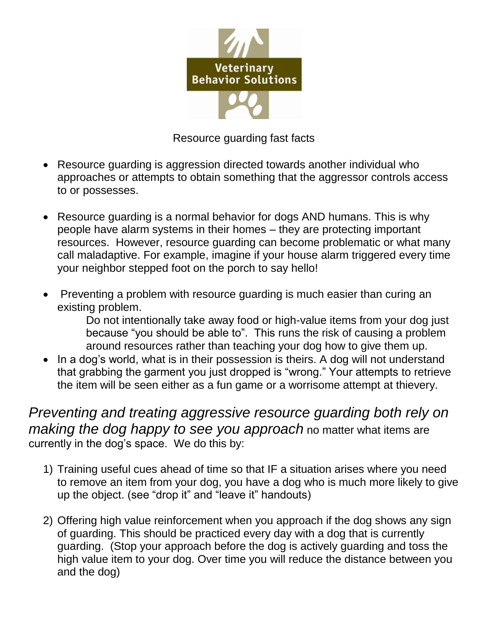

Resource guarding fast facts

- Resource guarding is aggression directed towards another individual who approaches or attempts to obtain something that the aggressor controls access to or possesses.
- Resource guarding is a normal behavior for dogs AND humans. This is why people have alarm systems in their homes – they are protecting important resources. However, resource guarding can become problematic or what many call maladaptive. For example, imagine if your house alarm triggered every time your neighbor stepped foot on the porch to say hello!
- Preventing a problem with resource guarding is much easier than curing an existing problem.

Do not intentionally take away food or high-value items from your dog just because "you should be able to". This runs the risk of causing a problem around resources rather than teaching your dog how to give them up.

• In a dog's world, what is in their possession is theirs. A dog will not understand that grabbing the garment you just dropped is "wrong." Your attempts to retrieve the item will be seen either as a fun game or a worrisome attempt at thievery.

*Preventing and treating aggressive resource guarding both rely on making the dog happy to see you approach* no matter what items are currently in the dog's space. We do this by:

- 1) Training useful cues ahead of time so that IF a situation arises where you need to remove an item from your dog, you have a dog who is much more likely to give up the object. (see "drop it" and "leave it" handouts)
- 2) Offering high value reinforcement when you approach if the dog shows any sign of guarding. This should be practiced every day with a dog that is currently guarding. (Stop your approach before the dog is actively guarding and toss the high value item to your dog. Over time you will reduce the distance between you and the dog)